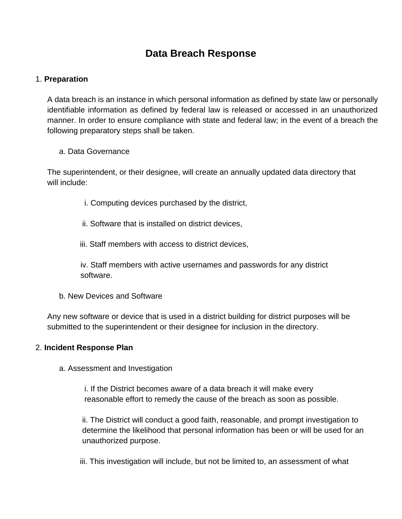# **Data Breach Response**

## 1. **Preparation**

A data breach is an instance in which personal information as defined by state law or personally identifiable information as defined by federal law is released or accessed in an unauthorized manner. In order to ensure compliance with state and federal law; in the event of a breach the following preparatory steps shall be taken.

#### a. Data Governance

The superintendent, or their designee, will create an annually updated data directory that will include:

- i. Computing devices purchased by the district,
- ii. Software that is installed on district devices,

### iii. Staff members with access to district devices,

iv. Staff members with active usernames and passwords for any district software.

b. New Devices and Software

Any new software or device that is used in a district building for district purposes will be submitted to the superintendent or their designee for inclusion in the directory.

#### 2. **Incident Response Plan**

a. Assessment and Investigation

i. If the District becomes aware of a data breach it will make every reasonable effort to remedy the cause of the breach as soon as possible.

ii. The District will conduct a good faith, reasonable, and prompt investigation to determine the likelihood that personal information has been or will be used for an unauthorized purpose.

iii. This investigation will include, but not be limited to, an assessment of what